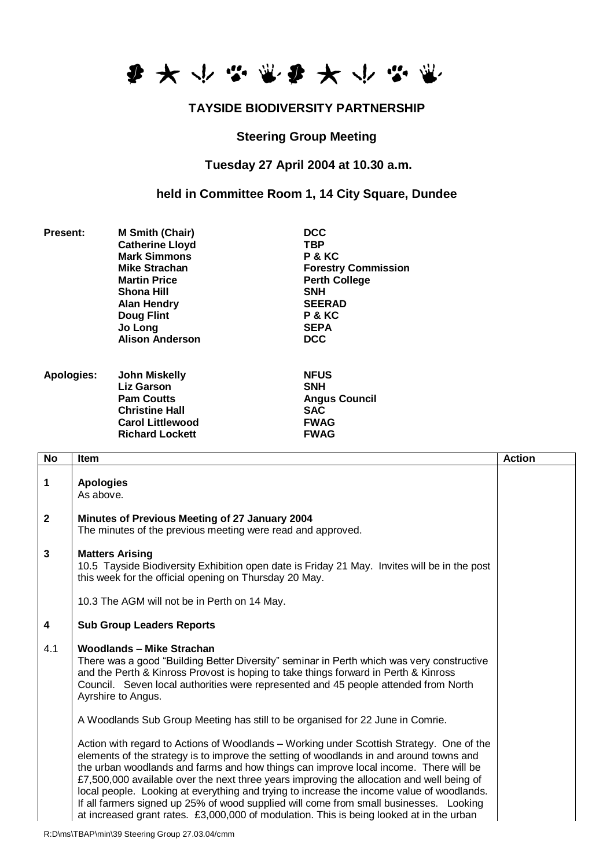

## **TAYSIDE BIODIVERSITY PARTNERSHIP**

## **Steering Group Meeting**

## **Tuesday 27 April 2004 at 10.30 a.m.**

**held in Committee Room 1, 14 City Square, Dundee**

| <b>Present:</b>   | <b>M Smith (Chair)</b><br><b>Catherine Lloyd</b><br><b>Mark Simmons</b><br>Mike Strachan<br><b>Martin Price</b><br>Shona Hill<br><b>Alan Hendry</b><br><b>Doug Flint</b><br>Jo Long<br><b>Alison Anderson</b> | <b>DCC</b><br><b>TBP</b><br>P & KC<br><b>Forestry Commission</b><br><b>Perth College</b><br><b>SNH</b><br><b>SEERAD</b><br>P & KC<br><b>SEPA</b><br><b>DCC</b> |
|-------------------|---------------------------------------------------------------------------------------------------------------------------------------------------------------------------------------------------------------|----------------------------------------------------------------------------------------------------------------------------------------------------------------|
| <b>Apologies:</b> | <b>John Miskelly</b><br>Liz Garson<br><b>Pam Coutts</b><br><b>Christine Hall</b><br><b>Carol Littlewood</b><br><b>Richard Lockett</b>                                                                         | <b>NFUS</b><br><b>SNH</b><br><b>Angus Council</b><br><b>SAC</b><br><b>FWAG</b><br><b>FWAG</b>                                                                  |
| No<br>Item        |                                                                                                                                                                                                               |                                                                                                                                                                |

| <b>No</b>      | <b>Item</b>                                                                                                                                                                                                                                                                                                                                                                                                                                                                                                                                                                                                                                                 | <b>Action</b> |
|----------------|-------------------------------------------------------------------------------------------------------------------------------------------------------------------------------------------------------------------------------------------------------------------------------------------------------------------------------------------------------------------------------------------------------------------------------------------------------------------------------------------------------------------------------------------------------------------------------------------------------------------------------------------------------------|---------------|
| 1              | <b>Apologies</b><br>As above.                                                                                                                                                                                                                                                                                                                                                                                                                                                                                                                                                                                                                               |               |
| $\overline{2}$ | Minutes of Previous Meeting of 27 January 2004<br>The minutes of the previous meeting were read and approved.                                                                                                                                                                                                                                                                                                                                                                                                                                                                                                                                               |               |
| $\mathbf{3}$   | <b>Matters Arising</b><br>10.5 Tayside Biodiversity Exhibition open date is Friday 21 May. Invites will be in the post<br>this week for the official opening on Thursday 20 May.                                                                                                                                                                                                                                                                                                                                                                                                                                                                            |               |
|                | 10.3 The AGM will not be in Perth on 14 May.                                                                                                                                                                                                                                                                                                                                                                                                                                                                                                                                                                                                                |               |
| 4              | <b>Sub Group Leaders Reports</b>                                                                                                                                                                                                                                                                                                                                                                                                                                                                                                                                                                                                                            |               |
| 4.1            | Woodlands - Mike Strachan<br>There was a good "Building Better Diversity" seminar in Perth which was very constructive<br>and the Perth & Kinross Provost is hoping to take things forward in Perth & Kinross<br>Council. Seven local authorities were represented and 45 people attended from North<br>Ayrshire to Angus.                                                                                                                                                                                                                                                                                                                                  |               |
|                | A Woodlands Sub Group Meeting has still to be organised for 22 June in Comrie.                                                                                                                                                                                                                                                                                                                                                                                                                                                                                                                                                                              |               |
|                | Action with regard to Actions of Woodlands - Working under Scottish Strategy. One of the<br>elements of the strategy is to improve the setting of woodlands in and around towns and<br>the urban woodlands and farms and how things can improve local income. There will be<br>£7,500,000 available over the next three years improving the allocation and well being of<br>local people. Looking at everything and trying to increase the income value of woodlands.<br>If all farmers signed up 25% of wood supplied will come from small businesses. Looking<br>at increased grant rates. £3,000,000 of modulation. This is being looked at in the urban |               |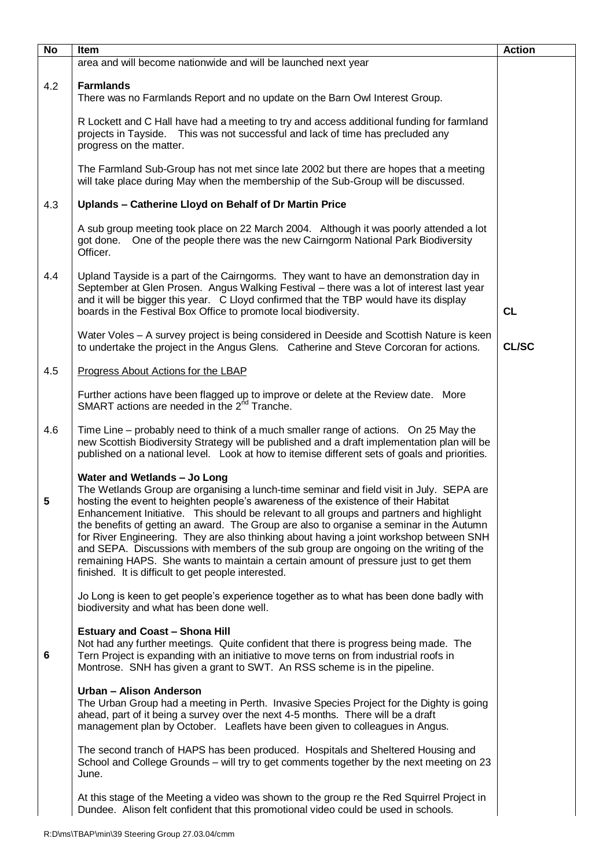| No  | Item                                                                                                                                                                                                                                                                                                                                                                                                                                                                                                                                                                                                                                                                                                                                     | <b>Action</b> |
|-----|------------------------------------------------------------------------------------------------------------------------------------------------------------------------------------------------------------------------------------------------------------------------------------------------------------------------------------------------------------------------------------------------------------------------------------------------------------------------------------------------------------------------------------------------------------------------------------------------------------------------------------------------------------------------------------------------------------------------------------------|---------------|
|     | area and will become nationwide and will be launched next year                                                                                                                                                                                                                                                                                                                                                                                                                                                                                                                                                                                                                                                                           |               |
| 4.2 | <b>Farmlands</b><br>There was no Farmlands Report and no update on the Barn Owl Interest Group.                                                                                                                                                                                                                                                                                                                                                                                                                                                                                                                                                                                                                                          |               |
|     | R Lockett and C Hall have had a meeting to try and access additional funding for farmland<br>projects in Tayside.  This was not successful and lack of time has precluded any<br>progress on the matter.                                                                                                                                                                                                                                                                                                                                                                                                                                                                                                                                 |               |
|     | The Farmland Sub-Group has not met since late 2002 but there are hopes that a meeting<br>will take place during May when the membership of the Sub-Group will be discussed.                                                                                                                                                                                                                                                                                                                                                                                                                                                                                                                                                              |               |
| 4.3 | Uplands - Catherine Lloyd on Behalf of Dr Martin Price                                                                                                                                                                                                                                                                                                                                                                                                                                                                                                                                                                                                                                                                                   |               |
|     | A sub group meeting took place on 22 March 2004. Although it was poorly attended a lot<br>got done. One of the people there was the new Cairngorm National Park Biodiversity<br>Officer.                                                                                                                                                                                                                                                                                                                                                                                                                                                                                                                                                 |               |
| 4.4 | Upland Tayside is a part of the Cairngorms. They want to have an demonstration day in<br>September at Glen Prosen. Angus Walking Festival - there was a lot of interest last year<br>and it will be bigger this year. C Lloyd confirmed that the TBP would have its display<br>boards in the Festival Box Office to promote local biodiversity.                                                                                                                                                                                                                                                                                                                                                                                          | CL            |
|     | Water Voles - A survey project is being considered in Deeside and Scottish Nature is keen<br>to undertake the project in the Angus Glens. Catherine and Steve Corcoran for actions.                                                                                                                                                                                                                                                                                                                                                                                                                                                                                                                                                      | <b>CL/SC</b>  |
| 4.5 | Progress About Actions for the LBAP                                                                                                                                                                                                                                                                                                                                                                                                                                                                                                                                                                                                                                                                                                      |               |
|     | Further actions have been flagged up to improve or delete at the Review date. More<br>SMART actions are needed in the 2 <sup>nd</sup> Tranche.                                                                                                                                                                                                                                                                                                                                                                                                                                                                                                                                                                                           |               |
| 4.6 | Time Line - probably need to think of a much smaller range of actions. On 25 May the<br>new Scottish Biodiversity Strategy will be published and a draft implementation plan will be<br>published on a national level. Look at how to itemise different sets of goals and priorities.                                                                                                                                                                                                                                                                                                                                                                                                                                                    |               |
| 5   | Water and Wetlands - Jo Long<br>The Wetlands Group are organising a lunch-time seminar and field visit in July. SEPA are<br>hosting the event to heighten people's awareness of the existence of their Habitat<br>Enhancement Initiative. This should be relevant to all groups and partners and highlight<br>the benefits of getting an award. The Group are also to organise a seminar in the Autumn<br>for River Engineering. They are also thinking about having a joint workshop between SNH<br>and SEPA. Discussions with members of the sub group are ongoing on the writing of the<br>remaining HAPS. She wants to maintain a certain amount of pressure just to get them<br>finished. It is difficult to get people interested. |               |
|     | Jo Long is keen to get people's experience together as to what has been done badly with<br>biodiversity and what has been done well.                                                                                                                                                                                                                                                                                                                                                                                                                                                                                                                                                                                                     |               |
| 6   | <b>Estuary and Coast - Shona Hill</b><br>Not had any further meetings. Quite confident that there is progress being made. The<br>Tern Project is expanding with an initiative to move terns on from industrial roofs in<br>Montrose. SNH has given a grant to SWT. An RSS scheme is in the pipeline.                                                                                                                                                                                                                                                                                                                                                                                                                                     |               |
|     | Urban - Alison Anderson<br>The Urban Group had a meeting in Perth. Invasive Species Project for the Dighty is going<br>ahead, part of it being a survey over the next 4-5 months. There will be a draft<br>management plan by October. Leaflets have been given to colleagues in Angus.                                                                                                                                                                                                                                                                                                                                                                                                                                                  |               |
|     | The second tranch of HAPS has been produced. Hospitals and Sheltered Housing and<br>School and College Grounds – will try to get comments together by the next meeting on 23<br>June.                                                                                                                                                                                                                                                                                                                                                                                                                                                                                                                                                    |               |
|     | At this stage of the Meeting a video was shown to the group re the Red Squirrel Project in<br>Dundee. Alison felt confident that this promotional video could be used in schools.                                                                                                                                                                                                                                                                                                                                                                                                                                                                                                                                                        |               |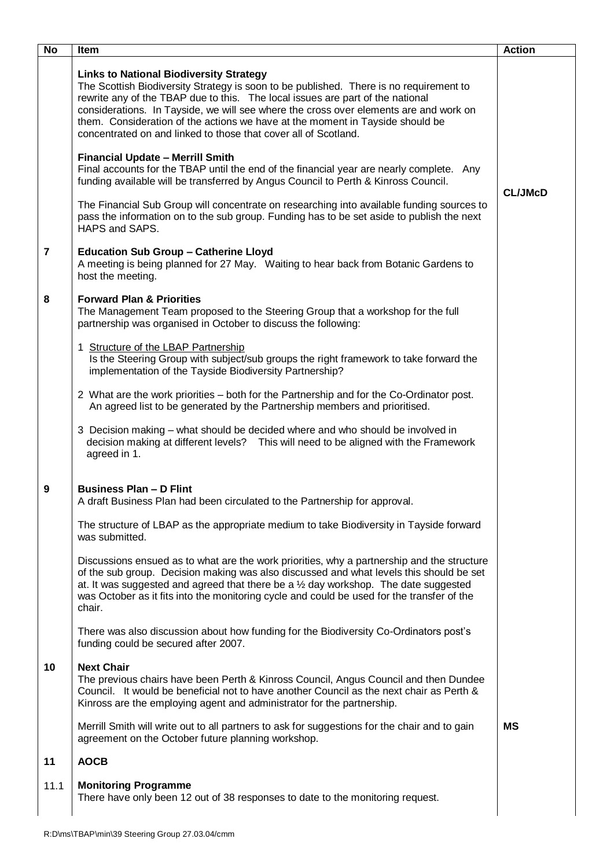| <b>No</b>               | Item                                                                                                                                                                                                                                                                                                                                                                                                                                                                    | <b>Action</b>  |
|-------------------------|-------------------------------------------------------------------------------------------------------------------------------------------------------------------------------------------------------------------------------------------------------------------------------------------------------------------------------------------------------------------------------------------------------------------------------------------------------------------------|----------------|
|                         | <b>Links to National Biodiversity Strategy</b><br>The Scottish Biodiversity Strategy is soon to be published. There is no requirement to<br>rewrite any of the TBAP due to this. The local issues are part of the national<br>considerations. In Tayside, we will see where the cross over elements are and work on<br>them. Consideration of the actions we have at the moment in Tayside should be<br>concentrated on and linked to those that cover all of Scotland. |                |
|                         | <b>Financial Update - Merrill Smith</b><br>Final accounts for the TBAP until the end of the financial year are nearly complete. Any<br>funding available will be transferred by Angus Council to Perth & Kinross Council.                                                                                                                                                                                                                                               | <b>CL/JMcD</b> |
|                         | The Financial Sub Group will concentrate on researching into available funding sources to<br>pass the information on to the sub group. Funding has to be set aside to publish the next<br>HAPS and SAPS.                                                                                                                                                                                                                                                                |                |
| $\overline{\mathbf{r}}$ | <b>Education Sub Group - Catherine Lloyd</b><br>A meeting is being planned for 27 May. Waiting to hear back from Botanic Gardens to<br>host the meeting.                                                                                                                                                                                                                                                                                                                |                |
| 8                       | <b>Forward Plan &amp; Priorities</b><br>The Management Team proposed to the Steering Group that a workshop for the full<br>partnership was organised in October to discuss the following:                                                                                                                                                                                                                                                                               |                |
|                         | 1 Structure of the LBAP Partnership<br>Is the Steering Group with subject/sub groups the right framework to take forward the<br>implementation of the Tayside Biodiversity Partnership?                                                                                                                                                                                                                                                                                 |                |
|                         | 2 What are the work priorities – both for the Partnership and for the Co-Ordinator post.<br>An agreed list to be generated by the Partnership members and prioritised.                                                                                                                                                                                                                                                                                                  |                |
|                         | 3 Decision making - what should be decided where and who should be involved in<br>decision making at different levels? This will need to be aligned with the Framework<br>agreed in 1.                                                                                                                                                                                                                                                                                  |                |
| 9                       | <b>Business Plan - D Flint</b><br>A draft Business Plan had been circulated to the Partnership for approval.                                                                                                                                                                                                                                                                                                                                                            |                |
|                         | The structure of LBAP as the appropriate medium to take Biodiversity in Tayside forward<br>was submitted.                                                                                                                                                                                                                                                                                                                                                               |                |
|                         | Discussions ensued as to what are the work priorities, why a partnership and the structure<br>of the sub group. Decision making was also discussed and what levels this should be set<br>at. It was suggested and agreed that there be a $\frac{1}{2}$ day workshop. The date suggested<br>was October as it fits into the monitoring cycle and could be used for the transfer of the<br>chair.                                                                         |                |
|                         | There was also discussion about how funding for the Biodiversity Co-Ordinators post's<br>funding could be secured after 2007.                                                                                                                                                                                                                                                                                                                                           |                |
| 10                      | <b>Next Chair</b><br>The previous chairs have been Perth & Kinross Council, Angus Council and then Dundee<br>Council. It would be beneficial not to have another Council as the next chair as Perth &<br>Kinross are the employing agent and administrator for the partnership.                                                                                                                                                                                         |                |
|                         | Merrill Smith will write out to all partners to ask for suggestions for the chair and to gain<br>agreement on the October future planning workshop.                                                                                                                                                                                                                                                                                                                     | МS             |
| 11                      | <b>AOCB</b>                                                                                                                                                                                                                                                                                                                                                                                                                                                             |                |
| 11.1                    | <b>Monitoring Programme</b><br>There have only been 12 out of 38 responses to date to the monitoring request.                                                                                                                                                                                                                                                                                                                                                           |                |
|                         |                                                                                                                                                                                                                                                                                                                                                                                                                                                                         |                |